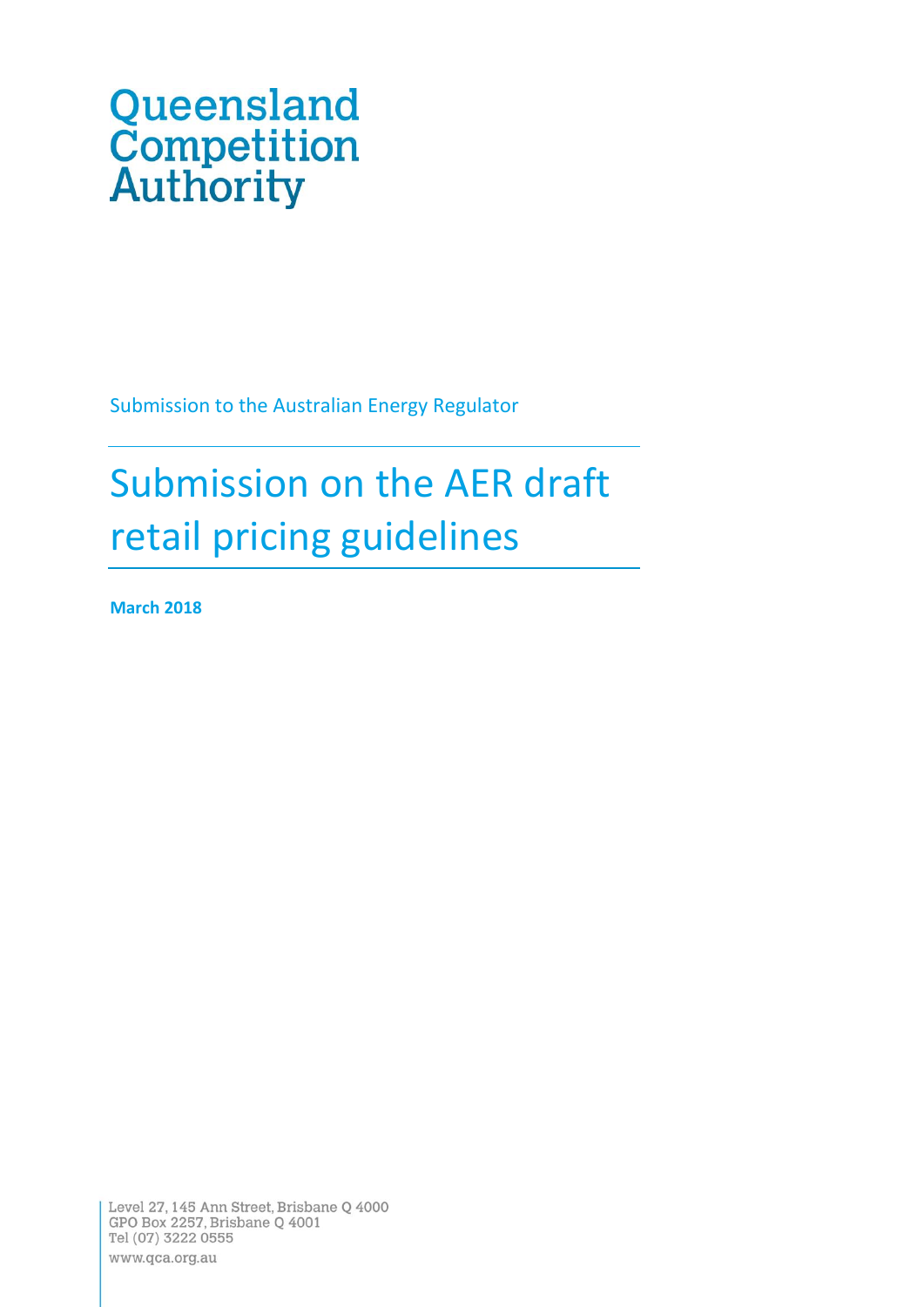# Queensland<br>Competition<br>Authority

Submission to the Australian Energy Regulator

# Submission on the AER draft retail pricing guidelines

**March 2018**

Level 27, 145 Ann Street, Brisbane Q 4000 GPO Box 2257, Brisbane Q 4001 Tel (07) 3222 0555 www.qca.org.au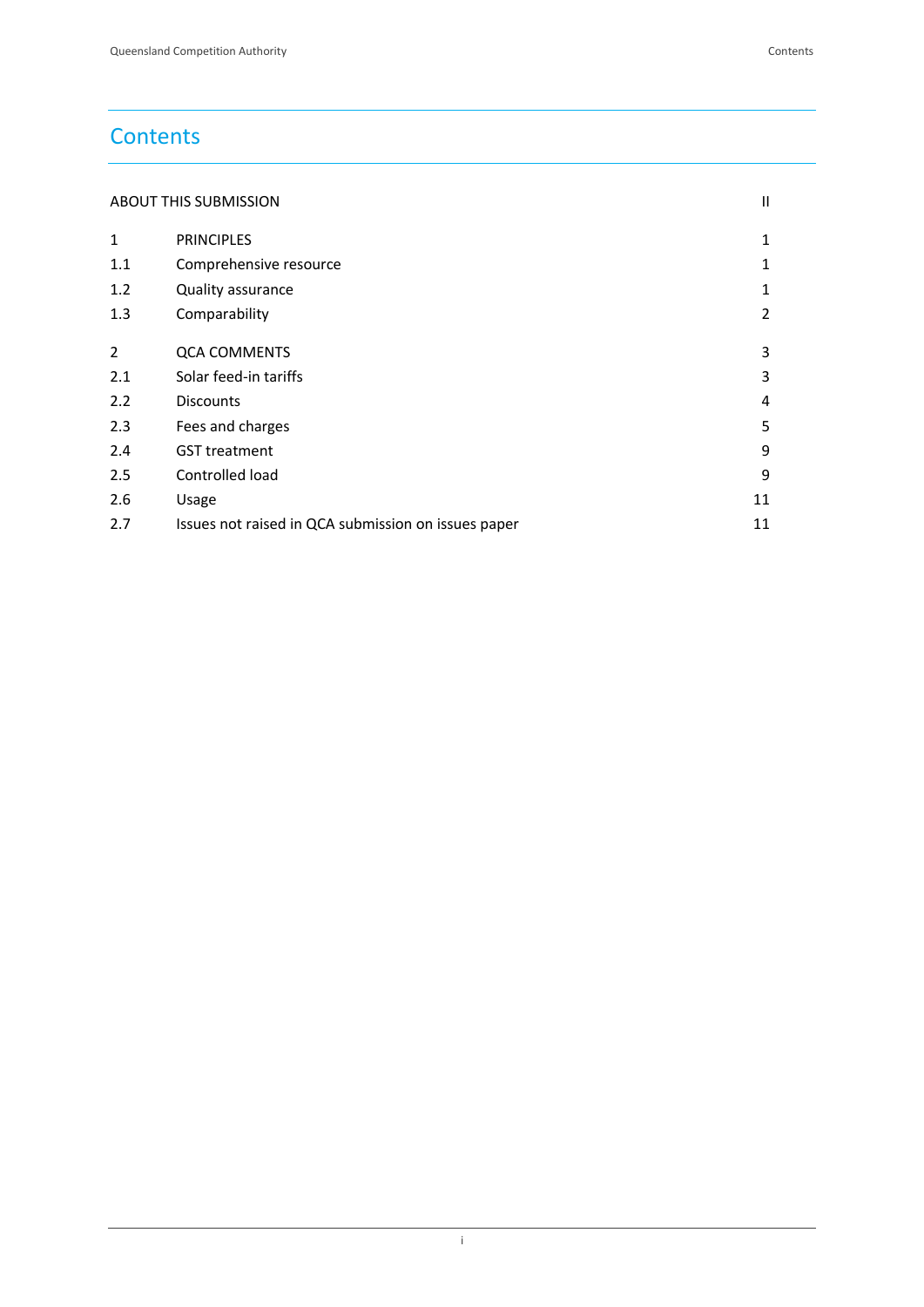# **Contents**

| <b>ABOUT THIS SUBMISSION</b> |  |
|------------------------------|--|
|                              |  |

| $\mathbf{1}$ | <b>PRINCIPLES</b>                                   | 1  |
|--------------|-----------------------------------------------------|----|
| 1.1          | Comprehensive resource                              | 1  |
| 1.2          | Quality assurance                                   | 1  |
| 1.3          | Comparability                                       | 2  |
|              |                                                     |    |
| 2            | <b>QCA COMMENTS</b>                                 | 3  |
| 2.1          | Solar feed-in tariffs                               | 3  |
| 2.2          | <b>Discounts</b>                                    | 4  |
| 2.3          | Fees and charges                                    | 5  |
| 2.4          | <b>GST treatment</b>                                | 9  |
| 2.5          | Controlled load                                     | 9  |
| 2.6          | Usage                                               | 11 |
| 2.7          | Issues not raised in QCA submission on issues paper | 11 |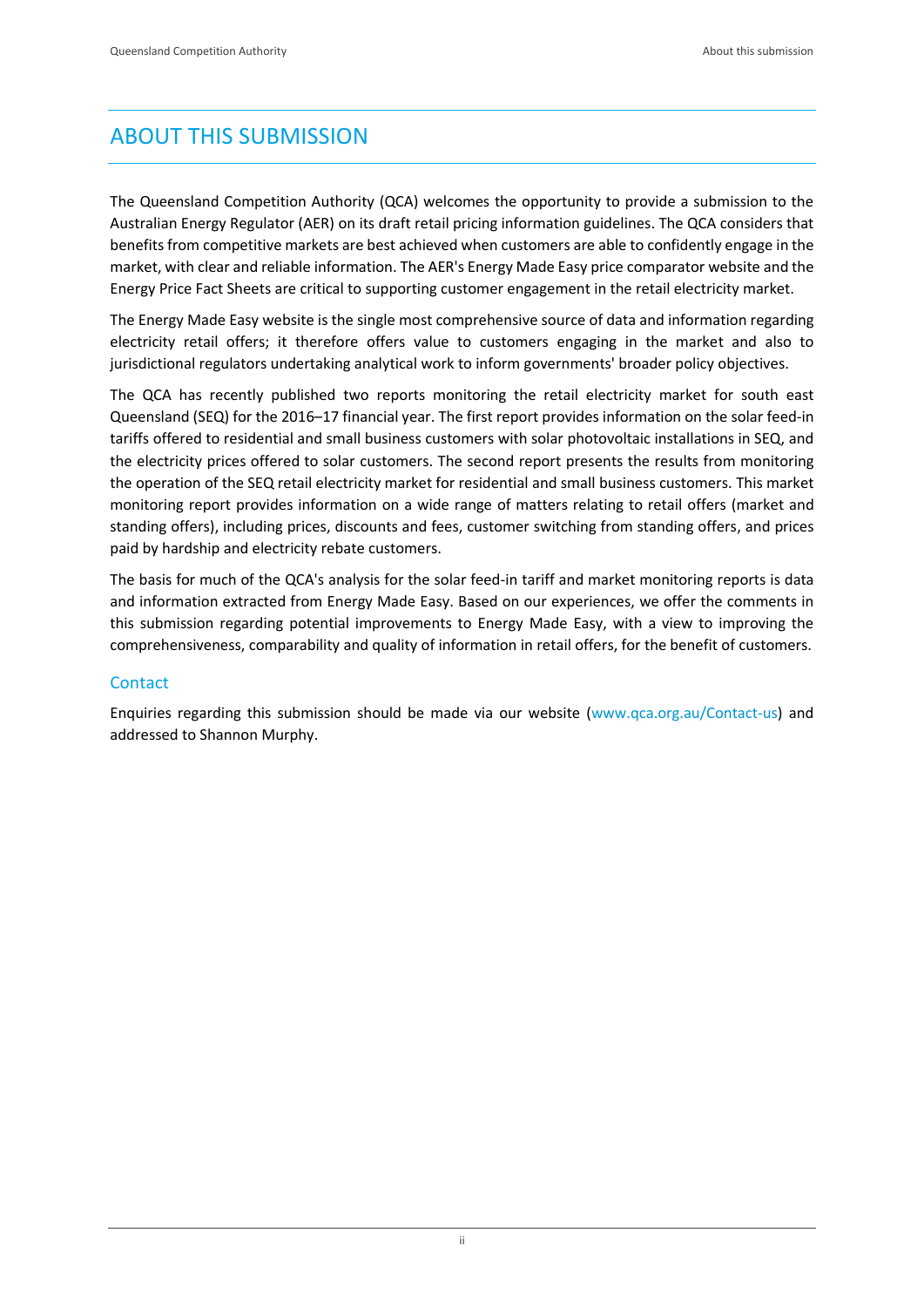# <span id="page-2-0"></span>ABOUT THIS SUBMISSION

The Queensland Competition Authority (QCA) welcomes the opportunity to provide a submission to the Australian Energy Regulator (AER) on its draft retail pricing information guidelines. The QCA considers that benefits from competitive markets are best achieved when customers are able to confidently engage in the market, with clear and reliable information. The AER's Energy Made Easy price comparator website and the Energy Price Fact Sheets are critical to supporting customer engagement in the retail electricity market.

The Energy Made Easy website is the single most comprehensive source of data and information regarding electricity retail offers; it therefore offers value to customers engaging in the market and also to jurisdictional regulators undertaking analytical work to inform governments' broader policy objectives.

The QCA has recently published two reports monitoring the retail electricity market for south east Queensland (SEQ) for the 2016–17 financial year. The first report provides information on the solar feed-in tariffs offered to residential and small business customers with solar photovoltaic installations in SEQ, and the electricity prices offered to solar customers. The second report presents the results from monitoring the operation of the SEQ retail electricity market for residential and small business customers. This market monitoring report provides information on a wide range of matters relating to retail offers (market and standing offers), including prices, discounts and fees, customer switching from standing offers, and prices paid by hardship and electricity rebate customers.

The basis for much of the QCA's analysis for the solar feed-in tariff and market monitoring reports is data and information extracted from Energy Made Easy. Based on our experiences, we offer the comments in this submission regarding potential improvements to Energy Made Easy, with a view to improving the comprehensiveness, comparability and quality of information in retail offers, for the benefit of customers.

#### **Contact**

Enquiries regarding this submission should be made via our website [\(www.qca.org.au/Contact-us\)](file:///C:/NRPortbl/Documents/SM/www.qca.org.au/Contact-us) and addressed to Shannon Murphy.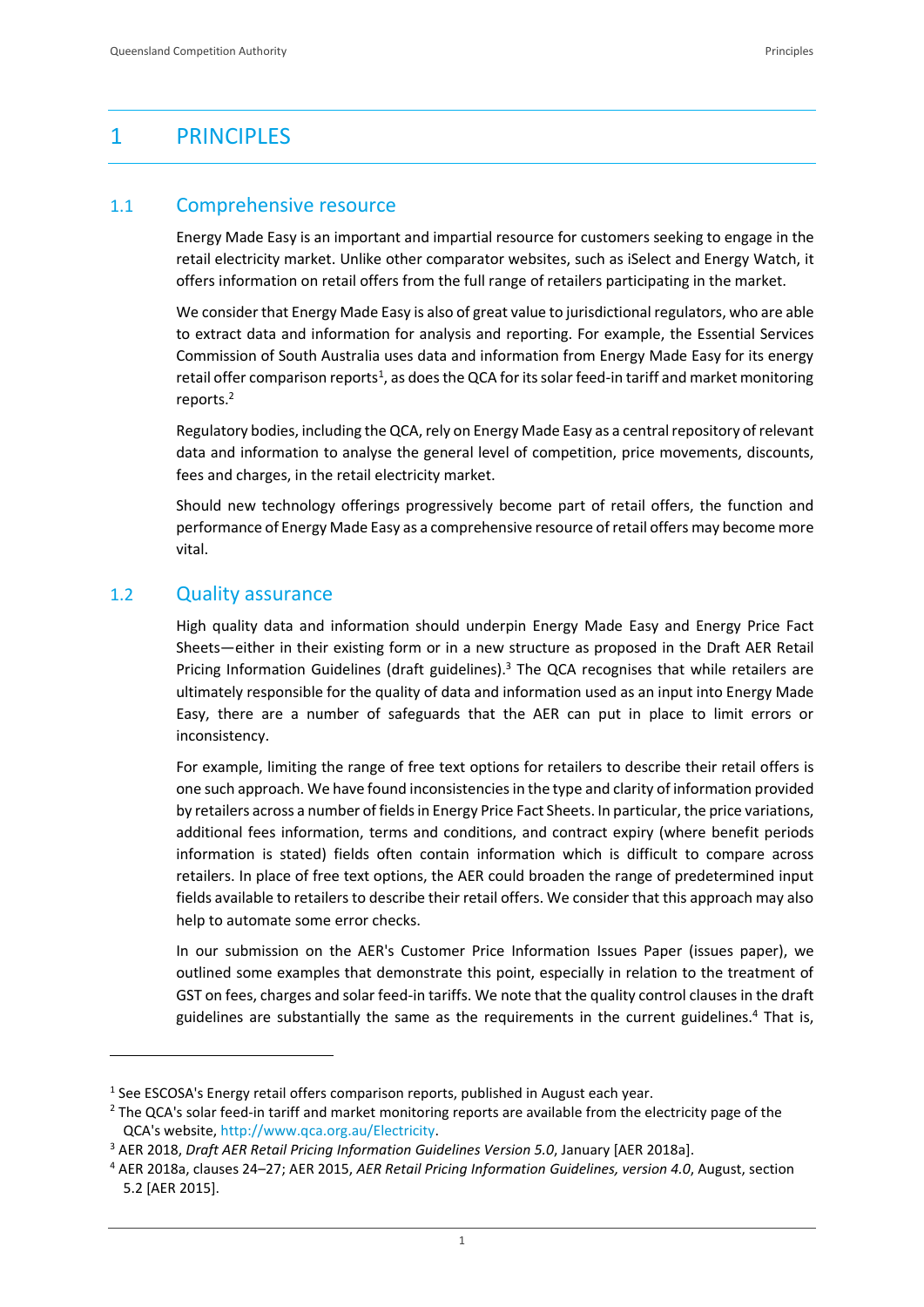# <span id="page-3-0"></span>1 PRINCIPLES

#### <span id="page-3-1"></span>1.1 Comprehensive resource

Energy Made Easy is an important and impartial resource for customers seeking to engage in the retail electricity market. Unlike other comparator websites, such as iSelect and Energy Watch, it offers information on retail offers from the full range of retailers participating in the market.

We consider that Energy Made Easy is also of great value to jurisdictional regulators, who are able to extract data and information for analysis and reporting. For example, the Essential Services Commission of South Australia uses data and information from Energy Made Easy for its energy retail offer comparison reports<sup>1</sup>, as does the QCA for its solar feed-in tariff and market monitoring reports. 2

Regulatory bodies, including the QCA, rely on Energy Made Easy as a central repository of relevant data and information to analyse the general level of competition, price movements, discounts, fees and charges, in the retail electricity market.

Should new technology offerings progressively become part of retail offers, the function and performance of Energy Made Easy as a comprehensive resource of retail offers may become more vital.

#### <span id="page-3-2"></span>1.2 Quality assurance

 $\overline{a}$ 

High quality data and information should underpin Energy Made Easy and Energy Price Fact Sheets—either in their existing form or in a new structure as proposed in the Draft AER Retail Pricing Information Guidelines (draft guidelines).<sup>3</sup> The QCA recognises that while retailers are ultimately responsible for the quality of data and information used as an input into Energy Made Easy, there are a number of safeguards that the AER can put in place to limit errors or inconsistency.

For example, limiting the range of free text options for retailers to describe their retail offers is one such approach. We have found inconsistencies in the type and clarity of information provided by retailers across a number of fields in Energy Price Fact Sheets. In particular, the price variations, additional fees information, terms and conditions, and contract expiry (where benefit periods information is stated) fields often contain information which is difficult to compare across retailers. In place of free text options, the AER could broaden the range of predetermined input fields available to retailers to describe their retail offers. We consider that this approach may also help to automate some error checks.

In our submission on the AER's Customer Price Information Issues Paper (issues paper), we outlined some examples that demonstrate this point, especially in relation to the treatment of GST on fees, charges and solar feed-in tariffs. We note that the quality control clauses in the draft guidelines are substantially the same as the requirements in the current guidelines.<sup>4</sup> That is,

<sup>&</sup>lt;sup>1</sup> See ESCOSA's Energy retail offers comparison reports, published in August each year.

<sup>&</sup>lt;sup>2</sup> The QCA's solar feed-in tariff and market monitoring reports are available from the electricity page of the QCA's website, [http://www.qca.org.au/Electricity.](http://www.qca.org.au/Electricity)

<sup>3</sup> AER 2018, *Draft AER Retail Pricing Information Guidelines Version 5.0*, January [AER 2018a].

<sup>4</sup> AER 2018a, clauses 24–27; AER 2015, *AER Retail Pricing Information Guidelines, version 4.0*, August, section 5.2 [AER 2015].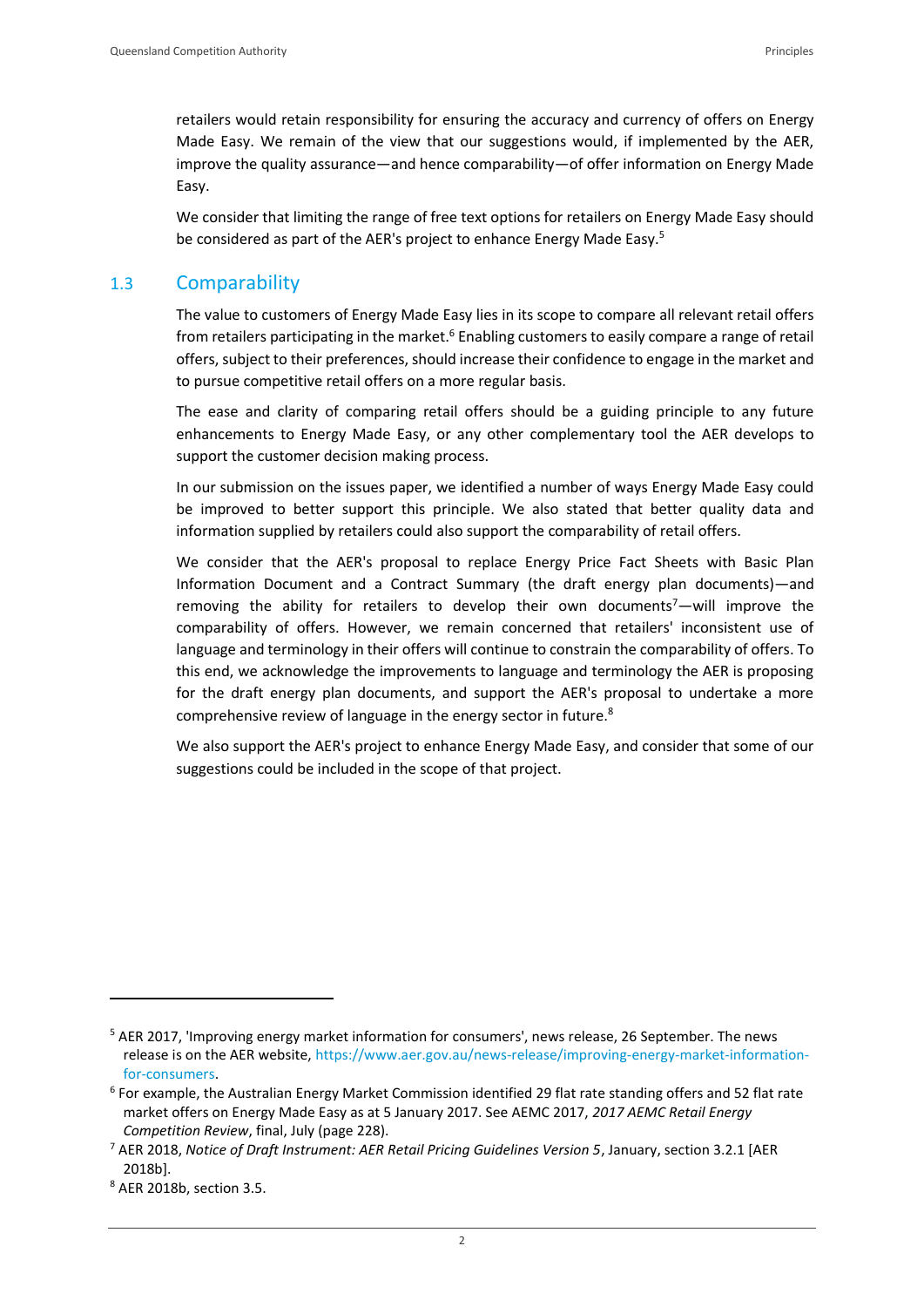retailers would retain responsibility for ensuring the accuracy and currency of offers on Energy Made Easy. We remain of the view that our suggestions would, if implemented by the AER, improve the quality assurance—and hence comparability—of offer information on Energy Made Easy.

We consider that limiting the range of free text options for retailers on Energy Made Easy should be considered as part of the AER's project to enhance Energy Made Easy.<sup>5</sup>

# <span id="page-4-0"></span>1.3 Comparability

The value to customers of Energy Made Easy lies in its scope to compare all relevant retail offers from retailers participating in the market.<sup>6</sup> Enabling customers to easily compare a range of retail offers, subject to their preferences, should increase their confidence to engage in the market and to pursue competitive retail offers on a more regular basis.

The ease and clarity of comparing retail offers should be a guiding principle to any future enhancements to Energy Made Easy, or any other complementary tool the AER develops to support the customer decision making process.

In our submission on the issues paper, we identified a number of ways Energy Made Easy could be improved to better support this principle. We also stated that better quality data and information supplied by retailers could also support the comparability of retail offers.

We consider that the AER's proposal to replace Energy Price Fact Sheets with Basic Plan Information Document and a Contract Summary (the draft energy plan documents)—and removing the ability for retailers to develop their own documents<sup>7</sup>—will improve the comparability of offers. However, we remain concerned that retailers' inconsistent use of language and terminology in their offers will continue to constrain the comparability of offers. To this end, we acknowledge the improvements to language and terminology the AER is proposing for the draft energy plan documents, and support the AER's proposal to undertake a more comprehensive review of language in the energy sector in future.<sup>8</sup>

We also support the AER's project to enhance Energy Made Easy, and consider that some of our suggestions could be included in the scope of that project.

<sup>5</sup> AER 2017, 'Improving energy market information for consumers', news release, 26 September. The news release is on the AER website, [https://www.aer.gov.au/news-release/improving-energy-market-information](https://www.aer.gov.au/news-release/improving-energy-market-information-for-consumers)[for-consumers.](https://www.aer.gov.au/news-release/improving-energy-market-information-for-consumers)

<sup>&</sup>lt;sup>6</sup> For example, the Australian Energy Market Commission identified 29 flat rate standing offers and 52 flat rate market offers on Energy Made Easy as at 5 January 2017. See AEMC 2017, *2017 AEMC Retail Energy Competition Review*, final, July (page 228).

<sup>7</sup> AER 2018, *Notice of Draft Instrument: AER Retail Pricing Guidelines Version 5*, January, section 3.2.1 [AER 2018b].

<sup>8</sup> AER 2018b, section 3.5.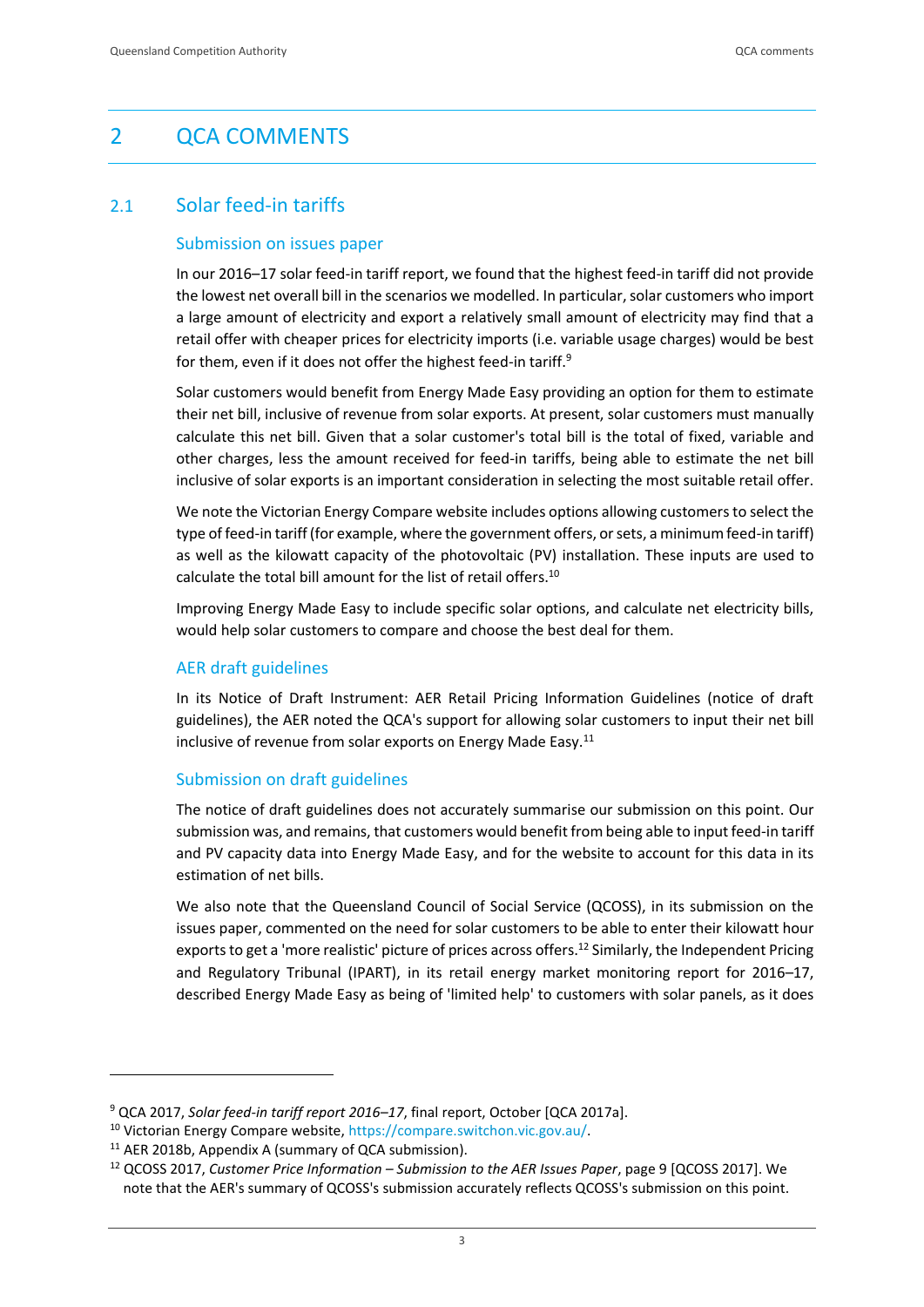# <span id="page-5-0"></span>2 QCA COMMENTS

# <span id="page-5-1"></span>2.1 Solar feed-in tariffs

#### Submission on issues paper

In our 2016–17 solar feed-in tariff report, we found that the highest feed-in tariff did not provide the lowest net overall bill in the scenarios we modelled. In particular, solar customers who import a large amount of electricity and export a relatively small amount of electricity may find that a retail offer with cheaper prices for electricity imports (i.e. variable usage charges) would be best for them, even if it does not offer the highest feed-in tariff.<sup>9</sup>

Solar customers would benefit from Energy Made Easy providing an option for them to estimate their net bill, inclusive of revenue from solar exports. At present, solar customers must manually calculate this net bill. Given that a solar customer's total bill is the total of fixed, variable and other charges, less the amount received for feed-in tariffs, being able to estimate the net bill inclusive of solar exports is an important consideration in selecting the most suitable retail offer.

We note the Victorian Energy Compare website includes options allowing customers to select the type of feed-in tariff (for example, where the government offers, or sets, a minimum feed-in tariff) as well as the kilowatt capacity of the photovoltaic (PV) installation. These inputs are used to calculate the total bill amount for the list of retail offers.<sup>10</sup>

Improving Energy Made Easy to include specific solar options, and calculate net electricity bills, would help solar customers to compare and choose the best deal for them.

#### AER draft guidelines

In its Notice of Draft Instrument: AER Retail Pricing Information Guidelines (notice of draft guidelines), the AER noted the QCA's support for allowing solar customers to input their net bill inclusive of revenue from solar exports on Energy Made Easy.<sup>11</sup>

#### Submission on draft guidelines

The notice of draft guidelines does not accurately summarise our submission on this point. Our submission was, and remains, that customers would benefit from being able to input feed-in tariff and PV capacity data into Energy Made Easy, and for the website to account for this data in its estimation of net bills.

We also note that the Queensland Council of Social Service (QCOSS), in its submission on the issues paper, commented on the need for solar customers to be able to enter their kilowatt hour exports to get a 'more realistic' picture of prices across offers.<sup>12</sup> Similarly, the Independent Pricing and Regulatory Tribunal (IPART), in its retail energy market monitoring report for 2016–17, described Energy Made Easy as being of 'limited help' to customers with solar panels, as it does

<sup>9</sup> QCA 2017, *Solar feed-in tariff report 2016–17*, final report, October [QCA 2017a].

<sup>10</sup> Victorian Energy Compare website, [https://compare.switchon.vic.gov.au/.](https://compare.switchon.vic.gov.au/)

<sup>&</sup>lt;sup>11</sup> AER 2018b, Appendix A (summary of QCA submission).

<sup>12</sup> QCOSS 2017, *Customer Price Information – Submission to the AER Issues Paper*, page 9 [QCOSS 2017]. We note that the AER's summary of QCOSS's submission accurately reflects QCOSS's submission on this point.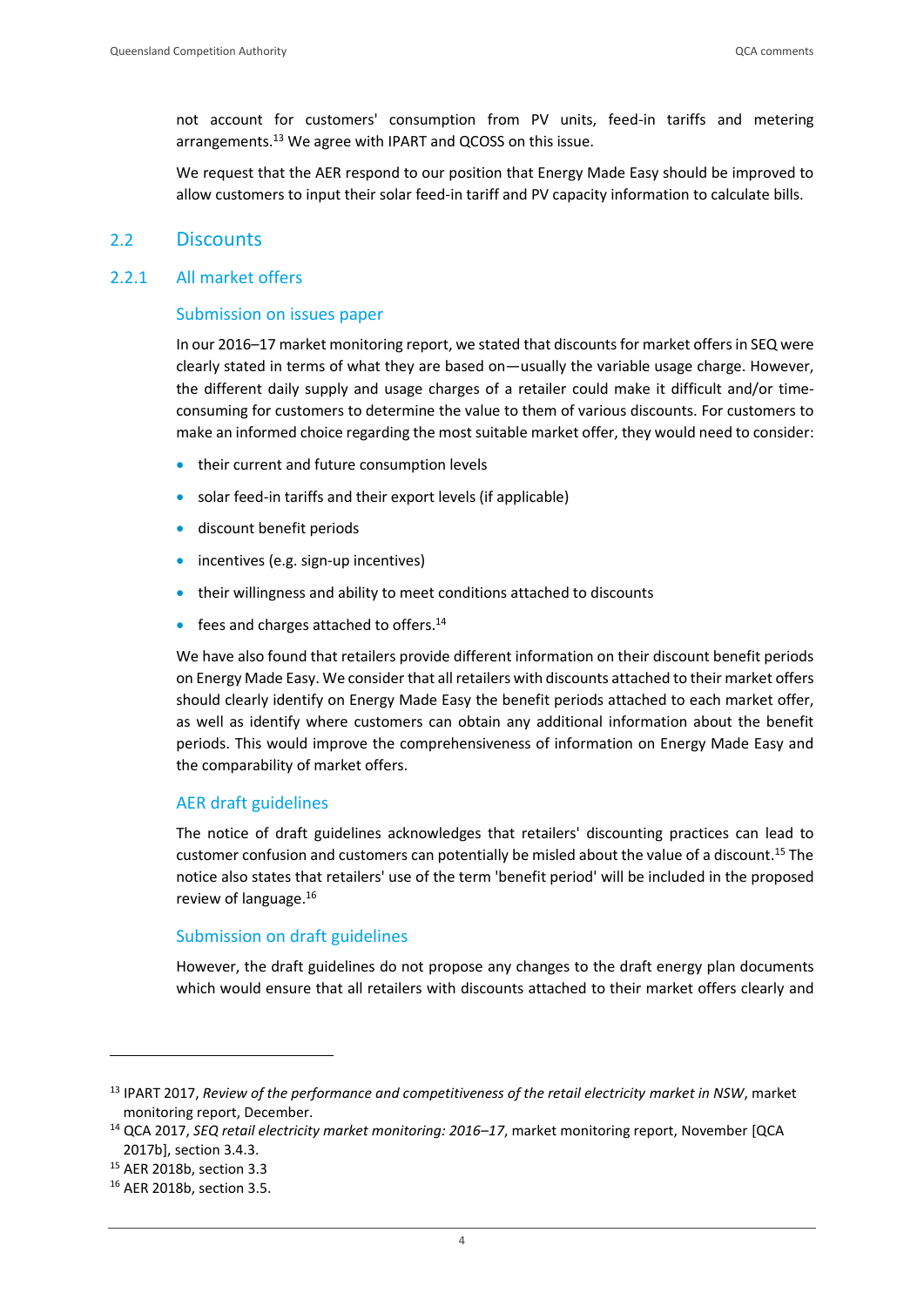not account for customers' consumption from PV units, feed-in tariffs and metering arrangements.<sup>13</sup> We agree with IPART and QCOSS on this issue.

We request that the AER respond to our position that Energy Made Easy should be improved to allow customers to input their solar feed-in tariff and PV capacity information to calculate bills.

#### <span id="page-6-0"></span>2.2 Discounts

#### 2.2.1 All market offers

#### Submission on issues paper

In our 2016–17 market monitoring report, we stated that discounts for market offersin SEQ were clearly stated in terms of what they are based on—usually the variable usage charge. However, the different daily supply and usage charges of a retailer could make it difficult and/or timeconsuming for customers to determine the value to them of various discounts. For customers to make an informed choice regarding the most suitable market offer, they would need to consider:

- their current and future consumption levels
- solar feed-in tariffs and their export levels (if applicable)
- discount benefit periods
- incentives (e.g. sign-up incentives)
- their willingness and ability to meet conditions attached to discounts
- **•** fees and charges attached to offers.<sup>14</sup>

We have also found that retailers provide different information on their discount benefit periods on Energy Made Easy. We consider that all retailers with discounts attached to their market offers should clearly identify on Energy Made Easy the benefit periods attached to each market offer, as well as identify where customers can obtain any additional information about the benefit periods. This would improve the comprehensiveness of information on Energy Made Easy and the comparability of market offers.

#### AER draft guidelines

The notice of draft guidelines acknowledges that retailers' discounting practices can lead to customer confusion and customers can potentially be misled about the value of a discount. <sup>15</sup> The notice also states that retailers' use of the term 'benefit period' will be included in the proposed review of language. 16

#### Submission on draft guidelines

However, the draft guidelines do not propose any changes to the draft energy plan documents which would ensure that all retailers with discounts attached to their market offers clearly and

<sup>13</sup> IPART 2017, *Review of the performance and competitiveness of the retail electricity market in NSW*, market monitoring report, December.

<sup>14</sup> QCA 2017, *SEQ retail electricity market monitoring: 2016–17*, market monitoring report, November [QCA 2017b], section 3.4.3.

<sup>15</sup> AER 2018b, section 3.3

<sup>16</sup> AER 2018b, section 3.5.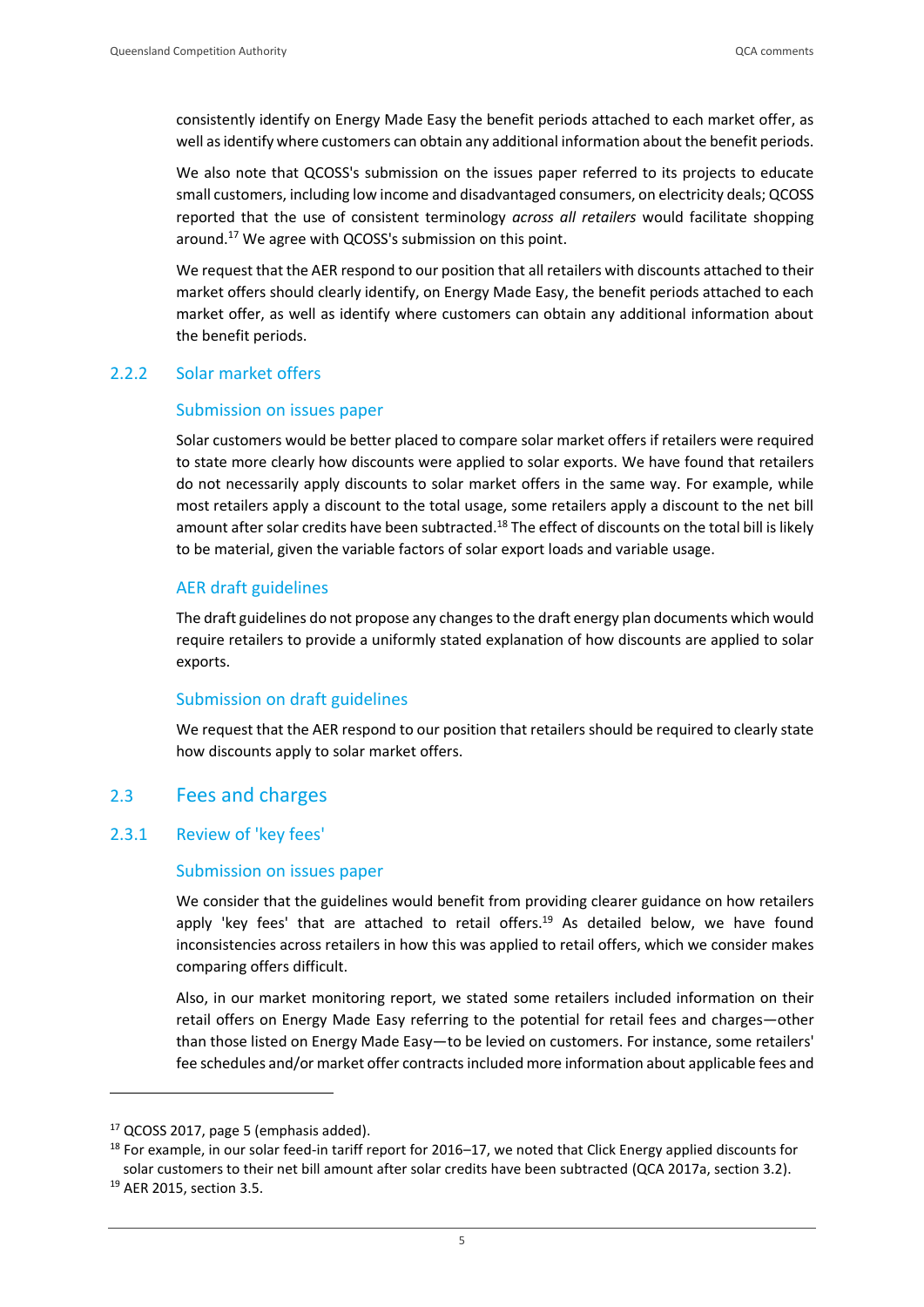consistently identify on Energy Made Easy the benefit periods attached to each market offer, as well as identify where customers can obtain any additional information about the benefit periods.

We also note that QCOSS's submission on the issues paper referred to its projects to educate small customers, including low income and disadvantaged consumers, on electricity deals; QCOSS reported that the use of consistent terminology *across all retailers* would facilitate shopping around. <sup>17</sup> We agree with QCOSS's submission on this point.

We request that the AER respond to our position that all retailers with discounts attached to their market offers should clearly identify, on Energy Made Easy, the benefit periods attached to each market offer, as well as identify where customers can obtain any additional information about the benefit periods.

#### 2.2.2 Solar market offers

#### Submission on issues paper

Solar customers would be better placed to compare solar market offers if retailers were required to state more clearly how discounts were applied to solar exports. We have found that retailers do not necessarily apply discounts to solar market offers in the same way. For example, while most retailers apply a discount to the total usage, some retailers apply a discount to the net bill amount after solar credits have been subtracted.<sup>18</sup> The effect of discounts on the total bill is likely to be material, given the variable factors of solar export loads and variable usage.

#### AER draft guidelines

The draft guidelines do not propose any changes to the draft energy plan documents which would require retailers to provide a uniformly stated explanation of how discounts are applied to solar exports.

#### Submission on draft guidelines

We request that the AER respond to our position that retailers should be required to clearly state how discounts apply to solar market offers.

#### <span id="page-7-0"></span>2.3 Fees and charges

#### 2.3.1 Review of 'key fees'

#### Submission on issues paper

We consider that the guidelines would benefit from providing clearer guidance on how retailers apply 'key fees' that are attached to retail offers.<sup>19</sup> As detailed below, we have found inconsistencies across retailers in how this was applied to retail offers, which we consider makes comparing offers difficult.

Also, in our market monitoring report, we stated some retailers included information on their retail offers on Energy Made Easy referring to the potential for retail fees and charges—other than those listed on Energy Made Easy—to be levied on customers. For instance, some retailers' fee schedules and/or market offer contracts included more information about applicable fees and

<sup>17</sup> QCOSS 2017, page 5 (emphasis added).

 $18$  For example, in our solar feed-in tariff report for 2016–17, we noted that Click Energy applied discounts for solar customers to their net bill amount after solar credits have been subtracted (QCA 2017a, section 3.2).

<sup>19</sup> AER 2015, section 3.5.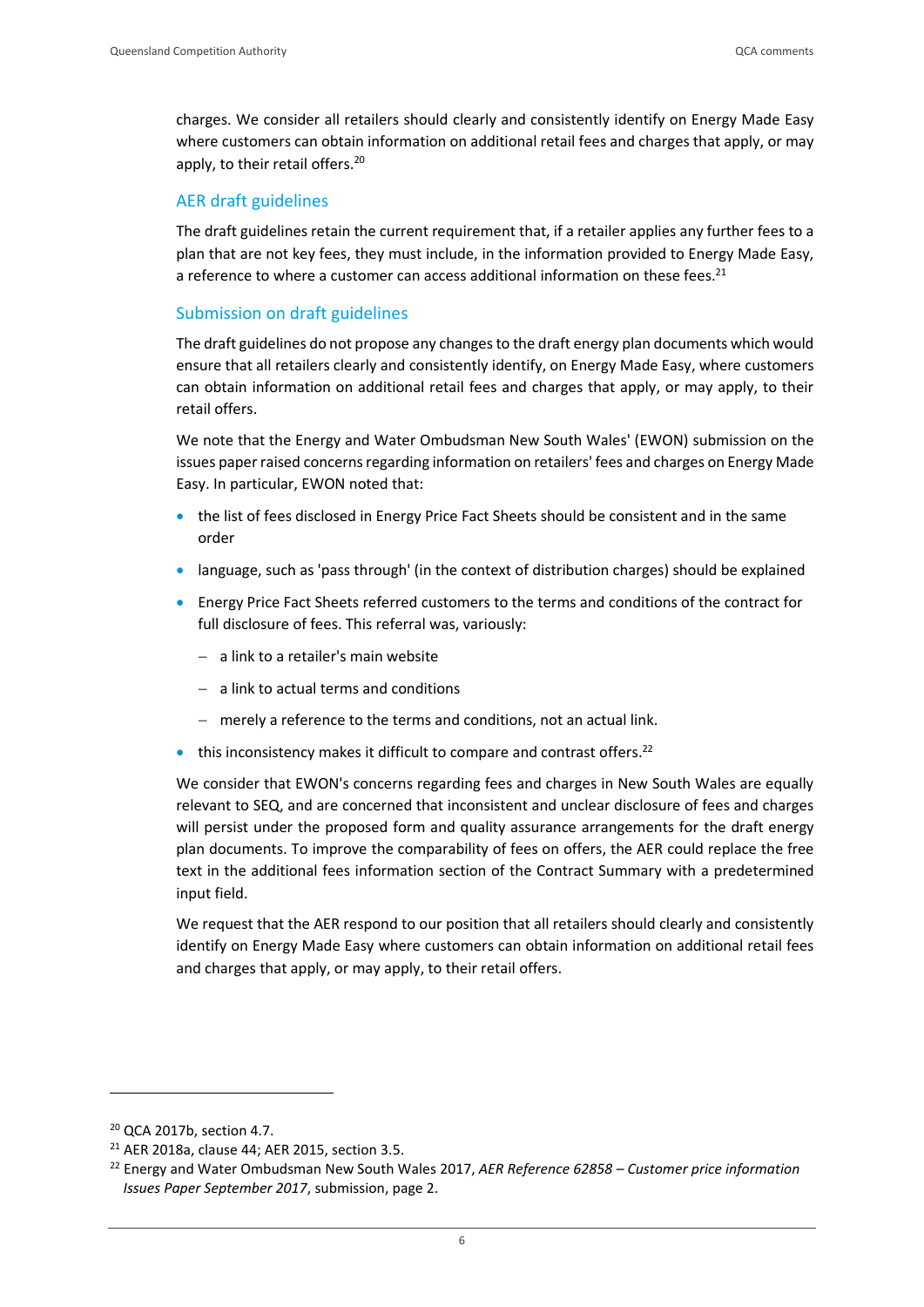charges. We consider all retailers should clearly and consistently identify on Energy Made Easy where customers can obtain information on additional retail fees and charges that apply, or may apply, to their retail offers.<sup>20</sup>

#### AER draft guidelines

The draft guidelines retain the current requirement that, if a retailer applies any further fees to a plan that are not key fees, they must include, in the information provided to Energy Made Easy, a reference to where a customer can access additional information on these fees.<sup>21</sup>

#### Submission on draft guidelines

The draft guidelines do not propose any changes to the draft energy plan documents which would ensure that all retailers clearly and consistently identify, on Energy Made Easy, where customers can obtain information on additional retail fees and charges that apply, or may apply, to their retail offers.

We note that the Energy and Water Ombudsman New South Wales' (EWON) submission on the issues paper raised concerns regarding information on retailers' fees and charges on Energy Made Easy. In particular, EWON noted that:

- the list of fees disclosed in Energy Price Fact Sheets should be consistent and in the same order
- language, such as 'pass through' (in the context of distribution charges) should be explained
- Energy Price Fact Sheets referred customers to the terms and conditions of the contract for full disclosure of fees. This referral was, variously:
	- a link to a retailer's main website
	- a link to actual terms and conditions
	- merely a reference to the terms and conditions, not an actual link.
- $\bullet$  this inconsistency makes it difficult to compare and contrast offers.<sup>22</sup>

We consider that EWON's concerns regarding fees and charges in New South Wales are equally relevant to SEQ, and are concerned that inconsistent and unclear disclosure of fees and charges will persist under the proposed form and quality assurance arrangements for the draft energy plan documents. To improve the comparability of fees on offers, the AER could replace the free text in the additional fees information section of the Contract Summary with a predetermined input field.

We request that the AER respond to our position that all retailers should clearly and consistently identify on Energy Made Easy where customers can obtain information on additional retail fees and charges that apply, or may apply, to their retail offers.

<sup>20</sup> QCA 2017b, section 4.7.

<sup>21</sup> AER 2018a, clause 44; AER 2015, section 3.5.

<sup>22</sup> Energy and Water Ombudsman New South Wales 2017, *AER Reference 62858 – Customer price information Issues Paper September 2017*, submission, page 2.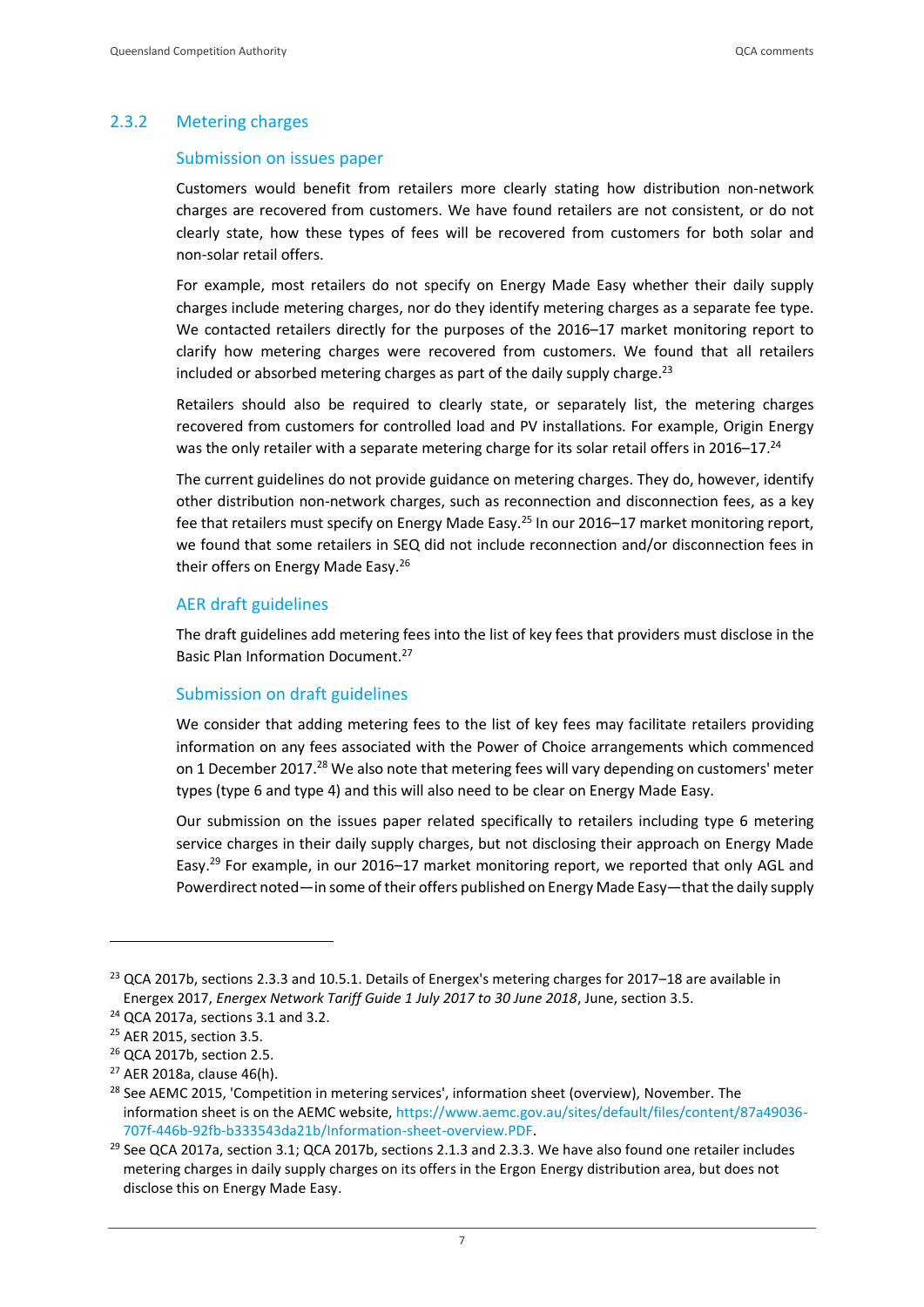#### 2.3.2 Metering charges

#### Submission on issues paper

Customers would benefit from retailers more clearly stating how distribution non-network charges are recovered from customers. We have found retailers are not consistent, or do not clearly state, how these types of fees will be recovered from customers for both solar and non-solar retail offers.

For example, most retailers do not specify on Energy Made Easy whether their daily supply charges include metering charges, nor do they identify metering charges as a separate fee type. We contacted retailers directly for the purposes of the 2016–17 market monitoring report to clarify how metering charges were recovered from customers. We found that all retailers included or absorbed metering charges as part of the daily supply charge.<sup>23</sup>

Retailers should also be required to clearly state, or separately list, the metering charges recovered from customers for controlled load and PV installations. For example, Origin Energy was the only retailer with a separate metering charge for its solar retail offers in 2016–17.<sup>24</sup>

The current guidelines do not provide guidance on metering charges. They do, however, identify other distribution non-network charges, such as reconnection and disconnection fees, as a key fee that retailers must specify on Energy Made Easy.<sup>25</sup> In our 2016–17 market monitoring report, we found that some retailers in SEQ did not include reconnection and/or disconnection fees in their offers on Energy Made Easy.<sup>26</sup>

#### AER draft guidelines

The draft guidelines add metering fees into the list of key fees that providers must disclose in the Basic Plan Information Document.<sup>27</sup>

#### Submission on draft guidelines

We consider that adding metering fees to the list of key fees may facilitate retailers providing information on any fees associated with the Power of Choice arrangements which commenced on 1 December 2017.<sup>28</sup> We also note that metering fees will vary depending on customers' meter types (type 6 and type 4) and this will also need to be clear on Energy Made Easy.

Our submission on the issues paper related specifically to retailers including type 6 metering service charges in their daily supply charges, but not disclosing their approach on Energy Made Easy.<sup>29</sup> For example, in our 2016–17 market monitoring report, we reported that only AGL and Powerdirect noted—in some of their offers published on Energy Made Easy—that the daily supply

<sup>&</sup>lt;sup>23</sup> QCA 2017b, sections 2.3.3 and 10.5.1. Details of Energex's metering charges for 2017–18 are available in Energex 2017, *Energex Network Tariff Guide 1 July 2017 to 30 June 2018*, June, section 3.5.

<sup>24</sup> QCA 2017a, sections 3.1 and 3.2.

<sup>25</sup> AER 2015, section 3.5.

<sup>26</sup> QCA 2017b, section 2.5.

<sup>27</sup> AER 2018a, clause 46(h).

<sup>&</sup>lt;sup>28</sup> See AEMC 2015, 'Competition in metering services', information sheet (overview), November. The information sheet is on the AEMC website, [https://www.aemc.gov.au/sites/default/files/content/87a49036-](https://www.aemc.gov.au/sites/default/files/content/87a49036-707f-446b-92fb-b333543da21b/Information-sheet-overview.PDF) [707f-446b-92fb-b333543da21b/Information-sheet-overview.PDF.](https://www.aemc.gov.au/sites/default/files/content/87a49036-707f-446b-92fb-b333543da21b/Information-sheet-overview.PDF)

<sup>&</sup>lt;sup>29</sup> See QCA 2017a, section 3.1; QCA 2017b, sections 2.1.3 and 2.3.3. We have also found one retailer includes metering charges in daily supply charges on its offers in the Ergon Energy distribution area, but does not disclose this on Energy Made Easy.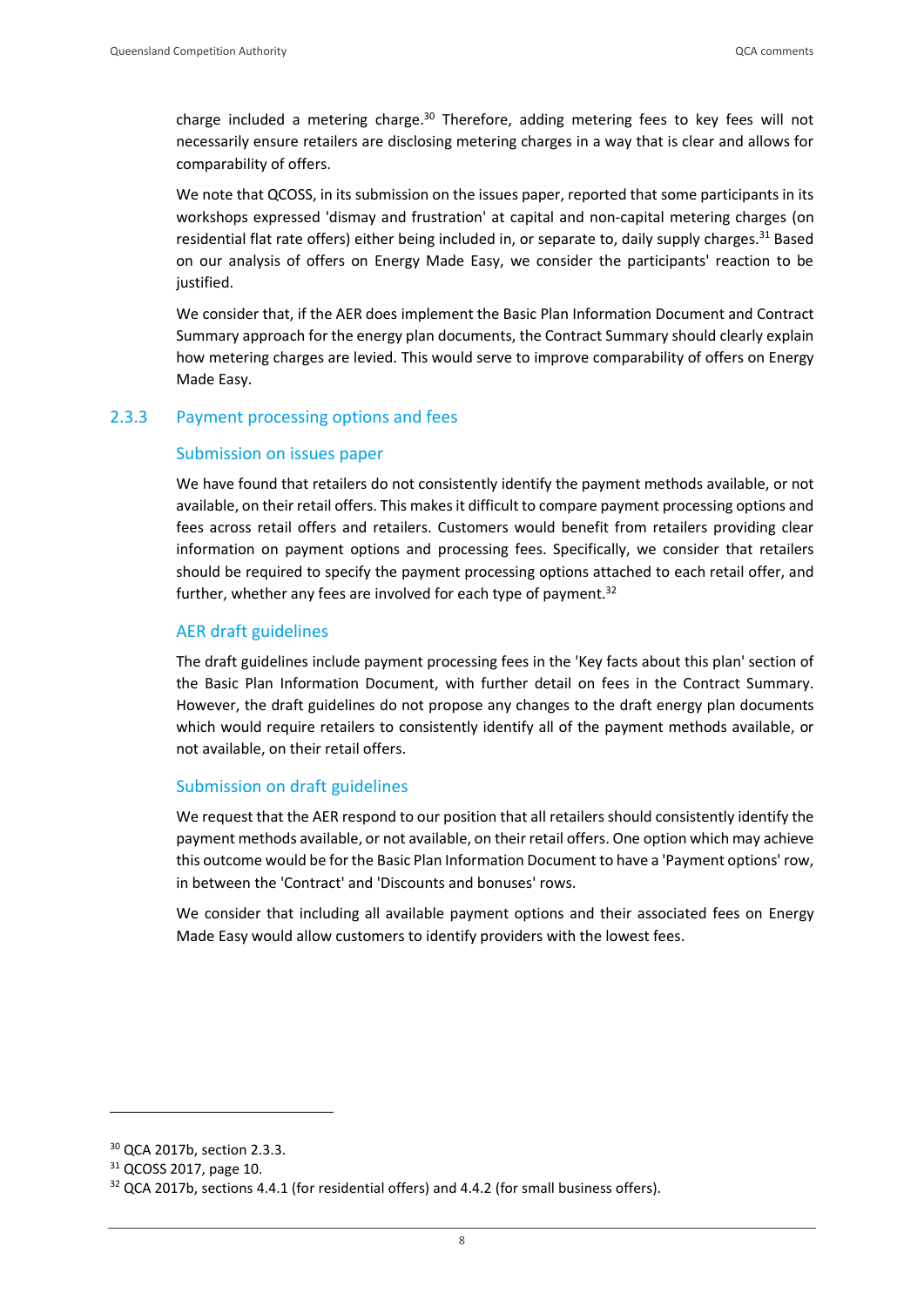charge included a metering charge.<sup>30</sup> Therefore, adding metering fees to key fees will not necessarily ensure retailers are disclosing metering charges in a way that is clear and allows for comparability of offers.

We note that QCOSS, in its submission on the issues paper, reported that some participants in its workshops expressed 'dismay and frustration' at capital and non-capital metering charges (on residential flat rate offers) either being included in, or separate to, daily supply charges.<sup>31</sup> Based on our analysis of offers on Energy Made Easy, we consider the participants' reaction to be justified.

We consider that, if the AER does implement the Basic Plan Information Document and Contract Summary approach for the energy plan documents, the Contract Summary should clearly explain how metering charges are levied. This would serve to improve comparability of offers on Energy Made Easy.

#### 2.3.3 Payment processing options and fees

#### Submission on issues paper

We have found that retailers do not consistently identify the payment methods available, or not available, on their retail offers. This makes it difficult to compare payment processing options and fees across retail offers and retailers. Customers would benefit from retailers providing clear information on payment options and processing fees. Specifically, we consider that retailers should be required to specify the payment processing options attached to each retail offer, and further, whether any fees are involved for each type of payment. $32$ 

#### AER draft guidelines

The draft guidelines include payment processing fees in the 'Key facts about this plan' section of the Basic Plan Information Document, with further detail on fees in the Contract Summary. However, the draft guidelines do not propose any changes to the draft energy plan documents which would require retailers to consistently identify all of the payment methods available, or not available, on their retail offers.

#### Submission on draft guidelines

We request that the AER respond to our position that all retailers should consistently identify the payment methods available, or not available, on their retail offers. One option which may achieve this outcome would be for the Basic Plan Information Document to have a 'Payment options' row, in between the 'Contract' and 'Discounts and bonuses' rows.

We consider that including all available payment options and their associated fees on Energy Made Easy would allow customers to identify providers with the lowest fees.

<sup>30</sup> QCA 2017b, section 2.3.3.

<sup>31</sup> QCOSS 2017, page 10.

<sup>&</sup>lt;sup>32</sup> QCA 2017b, sections 4.4.1 (for residential offers) and 4.4.2 (for small business offers).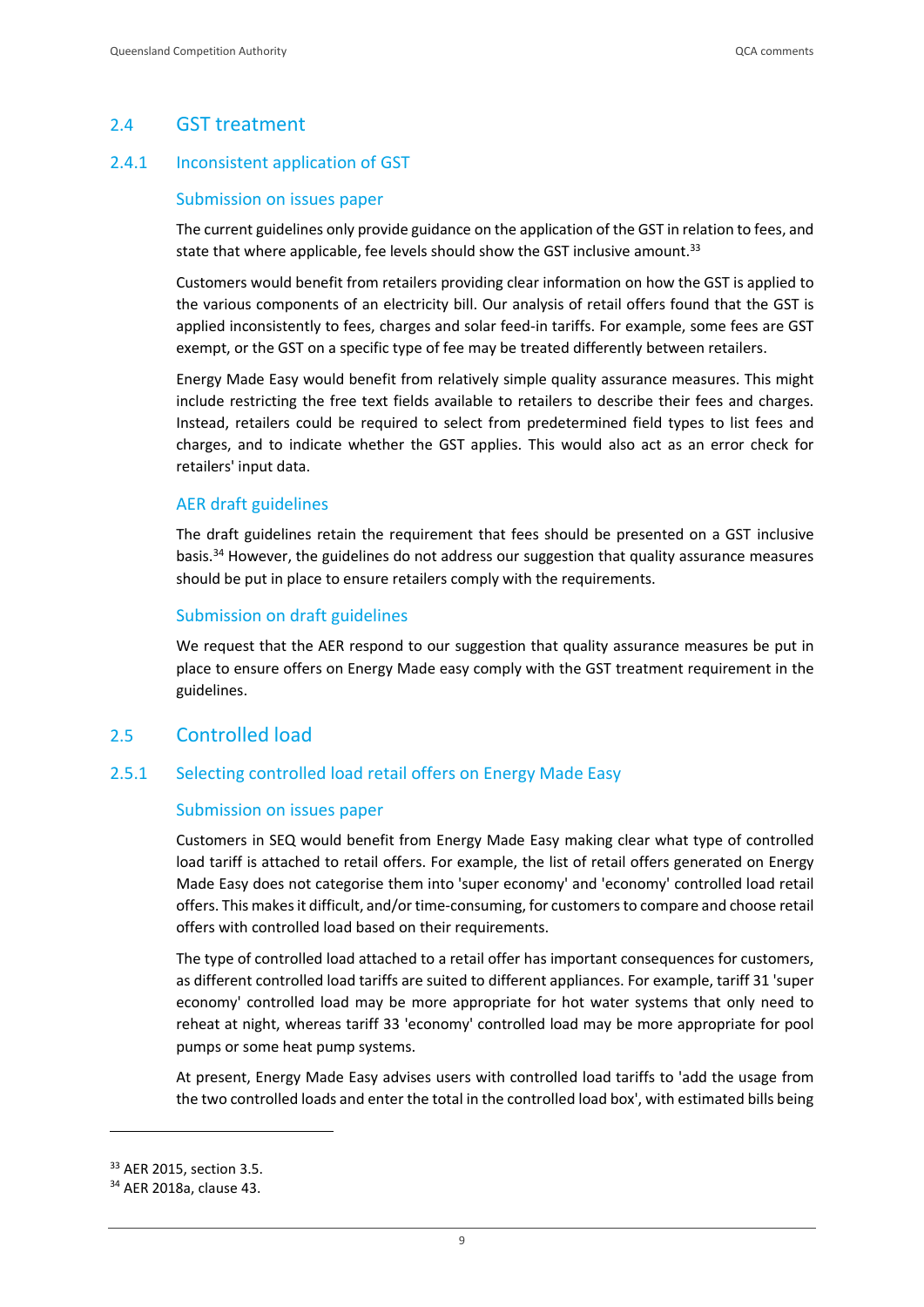### <span id="page-11-0"></span>2.4 GST treatment

#### 2.4.1 Inconsistent application of GST

#### Submission on issues paper

The current guidelines only provide guidance on the application of the GST in relation to fees, and state that where applicable, fee levels should show the GST inclusive amount.<sup>33</sup>

Customers would benefit from retailers providing clear information on how the GST is applied to the various components of an electricity bill. Our analysis of retail offers found that the GST is applied inconsistently to fees, charges and solar feed-in tariffs. For example, some fees are GST exempt, or the GST on a specific type of fee may be treated differently between retailers.

Energy Made Easy would benefit from relatively simple quality assurance measures. This might include restricting the free text fields available to retailers to describe their fees and charges. Instead, retailers could be required to select from predetermined field types to list fees and charges, and to indicate whether the GST applies. This would also act as an error check for retailers' input data.

#### AER draft guidelines

The draft guidelines retain the requirement that fees should be presented on a GST inclusive basis.<sup>34</sup> However, the guidelines do not address our suggestion that quality assurance measures should be put in place to ensure retailers comply with the requirements.

#### Submission on draft guidelines

We request that the AER respond to our suggestion that quality assurance measures be put in place to ensure offers on Energy Made easy comply with the GST treatment requirement in the guidelines.

#### <span id="page-11-1"></span>2.5 Controlled load

#### 2.5.1 Selecting controlled load retail offers on Energy Made Easy

#### Submission on issues paper

Customers in SEQ would benefit from Energy Made Easy making clear what type of controlled load tariff is attached to retail offers. For example, the list of retail offers generated on Energy Made Easy does not categorise them into 'super economy' and 'economy' controlled load retail offers. This makes it difficult, and/or time-consuming, for customers to compare and choose retail offers with controlled load based on their requirements.

The type of controlled load attached to a retail offer has important consequences for customers, as different controlled load tariffs are suited to different appliances. For example, tariff 31 'super economy' controlled load may be more appropriate for hot water systems that only need to reheat at night, whereas tariff 33 'economy' controlled load may be more appropriate for pool pumps or some heat pump systems.

At present, Energy Made Easy advises users with controlled load tariffs to 'add the usage from the two controlled loads and enter the total in the controlled load box', with estimated bills being

<sup>33</sup> AER 2015, section 3.5.

<sup>34</sup> AER 2018a, clause 43.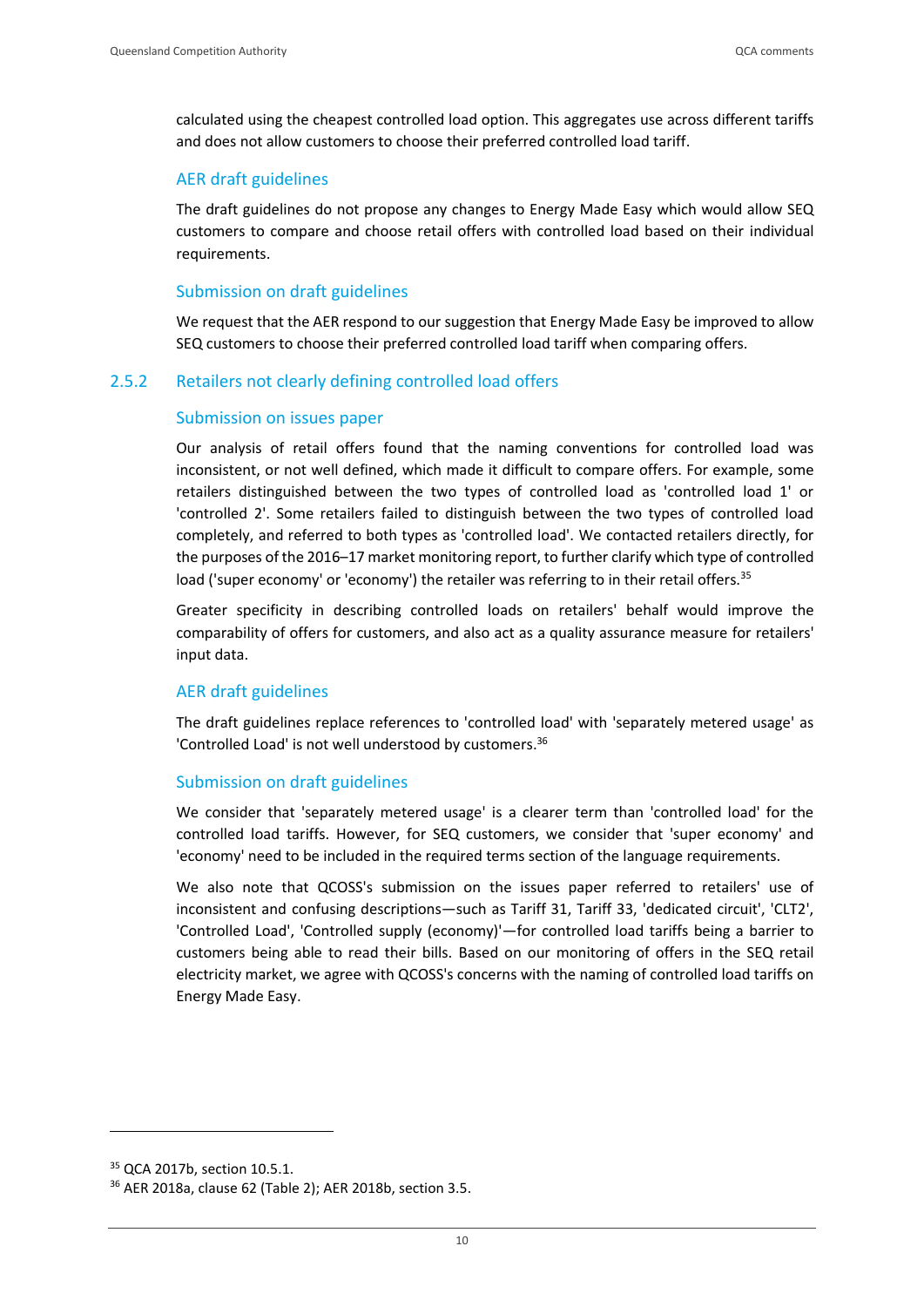calculated using the cheapest controlled load option. This aggregates use across different tariffs and does not allow customers to choose their preferred controlled load tariff.

#### AER draft guidelines

The draft guidelines do not propose any changes to Energy Made Easy which would allow SEQ customers to compare and choose retail offers with controlled load based on their individual requirements.

#### Submission on draft guidelines

We request that the AER respond to our suggestion that Energy Made Easy be improved to allow SEQ customers to choose their preferred controlled load tariff when comparing offers.

#### 2.5.2 Retailers not clearly defining controlled load offers

#### Submission on issues paper

Our analysis of retail offers found that the naming conventions for controlled load was inconsistent, or not well defined, which made it difficult to compare offers. For example, some retailers distinguished between the two types of controlled load as 'controlled load 1' or 'controlled 2'. Some retailers failed to distinguish between the two types of controlled load completely, and referred to both types as 'controlled load'. We contacted retailers directly, for the purposes of the 2016–17 market monitoring report, to further clarify which type of controlled load ('super economy' or 'economy') the retailer was referring to in their retail offers.<sup>35</sup>

Greater specificity in describing controlled loads on retailers' behalf would improve the comparability of offers for customers, and also act as a quality assurance measure for retailers' input data.

#### AER draft guidelines

The draft guidelines replace references to 'controlled load' with 'separately metered usage' as 'Controlled Load' is not well understood by customers.<sup>36</sup>

#### Submission on draft guidelines

We consider that 'separately metered usage' is a clearer term than 'controlled load' for the controlled load tariffs. However, for SEQ customers, we consider that 'super economy' and 'economy' need to be included in the required terms section of the language requirements.

We also note that QCOSS's submission on the issues paper referred to retailers' use of inconsistent and confusing descriptions—such as Tariff 31, Tariff 33, 'dedicated circuit', 'CLT2', 'Controlled Load', 'Controlled supply (economy)'—for controlled load tariffs being a barrier to customers being able to read their bills. Based on our monitoring of offers in the SEQ retail electricity market, we agree with QCOSS's concerns with the naming of controlled load tariffs on Energy Made Easy.

<sup>35</sup> QCA 2017b, section 10.5.1.

<sup>36</sup> AER 2018a, clause 62 (Table 2); AER 2018b, section 3.5.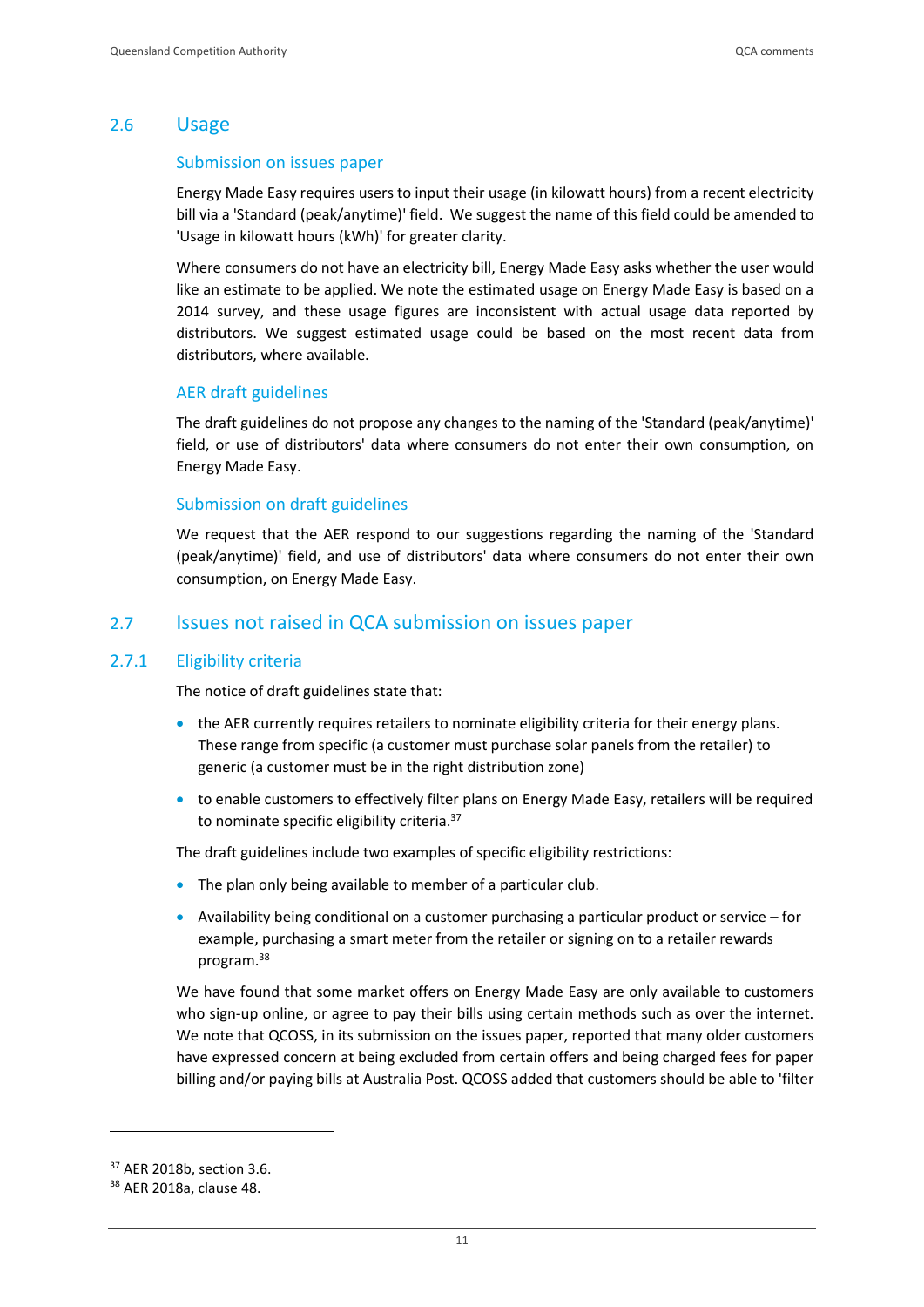#### <span id="page-13-0"></span>2.6 Usage

#### Submission on issues paper

Energy Made Easy requires users to input their usage (in kilowatt hours) from a recent electricity bill via a 'Standard (peak/anytime)' field. We suggest the name of this field could be amended to 'Usage in kilowatt hours (kWh)' for greater clarity.

Where consumers do not have an electricity bill, Energy Made Easy asks whether the user would like an estimate to be applied. We note the estimated usage on Energy Made Easy is based on a 2014 survey, and these usage figures are inconsistent with actual usage data reported by distributors. We suggest estimated usage could be based on the most recent data from distributors, where available.

#### AER draft guidelines

The draft guidelines do not propose any changes to the naming of the 'Standard (peak/anytime)' field, or use of distributors' data where consumers do not enter their own consumption, on Energy Made Easy.

#### Submission on draft guidelines

We request that the AER respond to our suggestions regarding the naming of the 'Standard (peak/anytime)' field, and use of distributors' data where consumers do not enter their own consumption, on Energy Made Easy.

#### <span id="page-13-1"></span>2.7 Issues not raised in QCA submission on issues paper

#### 2.7.1 Eligibility criteria

The notice of draft guidelines state that:

- the AER currently requires retailers to nominate eligibility criteria for their energy plans. These range from specific (a customer must purchase solar panels from the retailer) to generic (a customer must be in the right distribution zone)
- to enable customers to effectively filter plans on Energy Made Easy, retailers will be required to nominate specific eligibility criteria.<sup>37</sup>

The draft guidelines include two examples of specific eligibility restrictions:

- The plan only being available to member of a particular club.
- Availability being conditional on a customer purchasing a particular product or service for example, purchasing a smart meter from the retailer or signing on to a retailer rewards program. 38

We have found that some market offers on Energy Made Easy are only available to customers who sign-up online, or agree to pay their bills using certain methods such as over the internet. We note that QCOSS, in its submission on the issues paper, reported that many older customers have expressed concern at being excluded from certain offers and being charged fees for paper billing and/or paying bills at Australia Post. QCOSS added that customers should be able to 'filter

<sup>37</sup> AER 2018b, section 3.6.

<sup>38</sup> AER 2018a, clause 48.